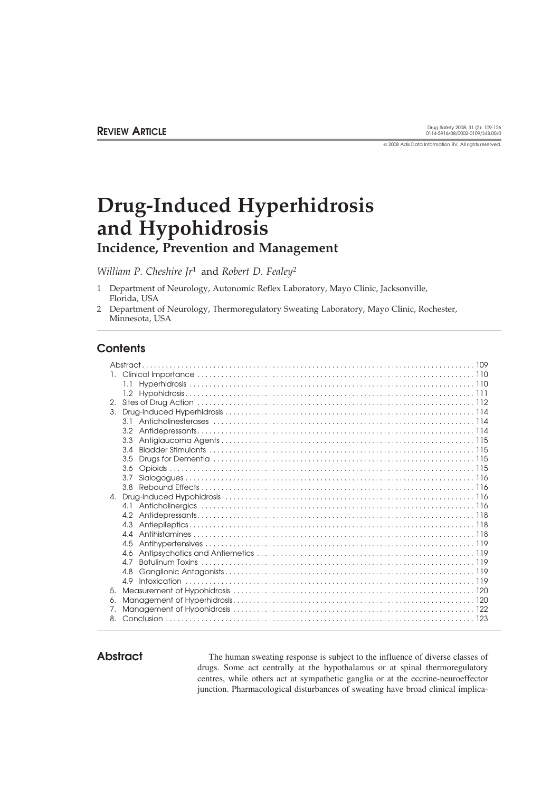© 2008 Adis Data Information BV. All rights reserved.

# **Drug-Induced Hyperhidrosis and Hypohidrosis Incidence, Prevention and Management**

*William P. Cheshire Jr*<sup>1</sup> and *Robert D. Fealey*<sup>2</sup>

- 1 Department of Neurology, Autonomic Reflex Laboratory, Mayo Clinic, Jacksonville, Florida, USA
- 2 Department of Neurology, Thermoregulatory Sweating Laboratory, Mayo Clinic, Rochester, Minnesota, USA

## **Contents**

| 1. |            |  |  |  |
|----|------------|--|--|--|
|    |            |  |  |  |
|    |            |  |  |  |
| 2. |            |  |  |  |
| 3. |            |  |  |  |
|    | 3.1        |  |  |  |
|    | 3.2        |  |  |  |
|    | 3.3        |  |  |  |
|    | 3.4        |  |  |  |
|    | 3.5        |  |  |  |
|    | 3.6        |  |  |  |
|    | 3.7        |  |  |  |
|    |            |  |  |  |
|    |            |  |  |  |
|    | 4.1        |  |  |  |
|    |            |  |  |  |
|    | 4.3        |  |  |  |
|    |            |  |  |  |
|    | 4.5        |  |  |  |
|    | 4.6        |  |  |  |
|    | $\Delta$ 7 |  |  |  |
|    | 4.8        |  |  |  |
|    |            |  |  |  |
| 5. |            |  |  |  |
| 6. |            |  |  |  |
|    |            |  |  |  |
| 8. |            |  |  |  |
|    |            |  |  |  |

**Abstract** The human sweating response is subject to the influence of diverse classes of drugs. Some act centrally at the hypothalamus or at spinal thermoregulatory centres, while others act at sympathetic ganglia or at the eccrine-neuroeffector junction. Pharmacological disturbances of sweating have broad clinical implica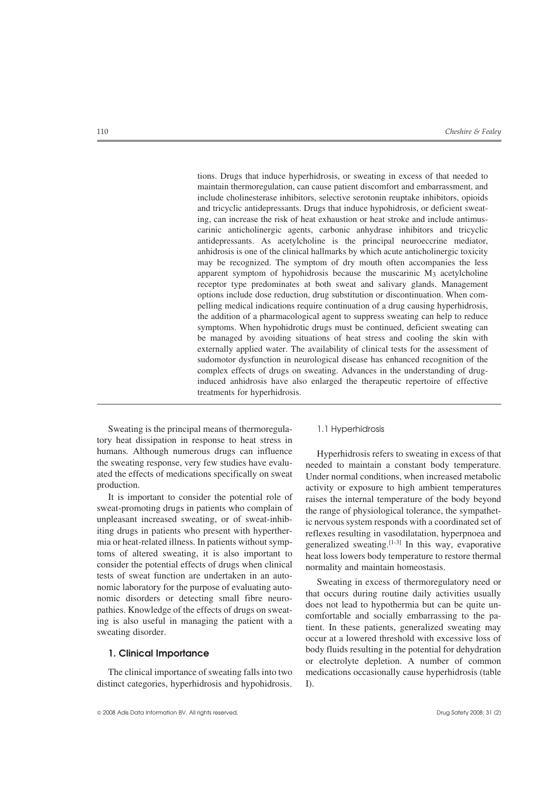tions. Drugs that induce hyperhidrosis, or sweating in excess of that needed to maintain thermoregulation, can cause patient discomfort and embarrassment, and include cholinesterase inhibitors, selective serotonin reuptake inhibitors, opioids and tricyclic antidepressants. Drugs that induce hypohidrosis, or deficient sweating, can increase the risk of heat exhaustion or heat stroke and include antimuscarinic anticholinergic agents, carbonic anhydrase inhibitors and tricyclic antidepressants. As acetylcholine is the principal neuroeccrine mediator, anhidrosis is one of the clinical hallmarks by which acute anticholinergic toxicity may be recognized. The symptom of dry mouth often accompanies the less apparent symptom of hypohidrosis because the muscarinic M3 acetylcholine receptor type predominates at both sweat and salivary glands. Management options include dose reduction, drug substitution or discontinuation. When compelling medical indications require continuation of a drug causing hyperhidrosis, the addition of a pharmacological agent to suppress sweating can help to reduce symptoms. When hypohidrotic drugs must be continued, deficient sweating can be managed by avoiding situations of heat stress and cooling the skin with externally applied water. The availability of clinical tests for the assessment of sudomotor dysfunction in neurological disease has enhanced recognition of the complex effects of drugs on sweating. Advances in the understanding of druginduced anhidrosis have also enlarged the therapeutic repertoire of effective treatments for hyperhidrosis.

Sweating is the principal means of thermoregula- 1.1 Hyperhidrosis tory heat dissipation in response to heat stress in humans. Although numerous drugs can influence Hyperhidrosis refers to sweating in excess of that the sweating response, very few studies have evalu- needed to maintain a constant body temperature. ated the effects of medications specifically on sweat Under normal conditions, when increased metabolic production.

It is important to consider the potential role of raises the internal temperature of the body beyond<br>sweat-promoting drugs in patients who complain of the range of physiological tolerance the sympathetsweat-promoting drugs in patients who complain of the range of physiological tolerance, the sympathet-<br>unpleasant increased sweating, or of sweat-inhib-<br>is nervous system responds with a coordinated set of unpleasant increased sweating, or of sweat-inhib-<br>interval system responds with a coordinated set of<br>iting drugs in patients who present with hyperther-<br>reflexes resulting in vasodilatation hypernoea and iting drugs in patients who present with hyperther-<br>mia or heat-related illness. In patients without symp-<br>energlized sweating [1-3] In this way, evaporative mia or heat-related illness. In patients without symp-<br>toms of altered sweating, it is also important to heat loss lowers body temperature to restore thermal consider the potential effects of drugs when clinical normality and maintain homeostasis.<br>tests of sweat function are undertaken in an auto-

distinct categories, hyperhidrosis and hypohidrosis. I).

production.<br>It is important to consider the potential role of raises the internal temperature of the body beyond heat loss lowers body temperature to restore thermal

tests of sweat function are undertaken in an auto-<br>nomic laboratory for the purpose of evaluating auto-<br>nomic disorders or detecting small fibre neuro-<br>pathies. Knowledge of the effects of drugs on sweat-<br>ing is also usefu **1. Clinical Importance 1. Clinical Importance 1. Clinical Importance** or electrolyte depletion. A number of common The clinical importance of sweating falls into two medications occasionally cause hyperhidrosis (table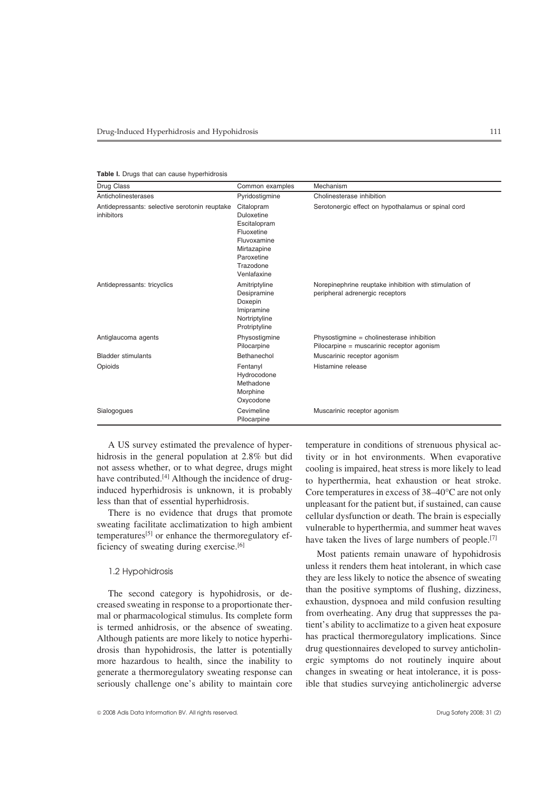**Table I.** Drugs that can cause hyperhidrosis

| Drug Class                                                  | Common examples                                                                                                                       | Mechanism                                                                                 |
|-------------------------------------------------------------|---------------------------------------------------------------------------------------------------------------------------------------|-------------------------------------------------------------------------------------------|
| Anticholinesterases                                         | Pyridostigmine                                                                                                                        | Cholinesterase inhibition                                                                 |
| Antidepressants: selective serotonin reuptake<br>inhibitors | Citalopram<br><b>Duloxetine</b><br>Escitalopram<br>Fluoxetine<br>Fluvoxamine<br>Mirtazapine<br>Paroxetine<br>Trazodone<br>Venlafaxine | Serotonergic effect on hypothalamus or spinal cord                                        |
| Antidepressants: tricyclics                                 | Amitriptyline<br>Desipramine<br>Doxepin<br>Imipramine<br>Nortriptyline<br>Protriptyline                                               | Norepinephrine reuptake inhibition with stimulation of<br>peripheral adrenergic receptors |
| Antiglaucoma agents                                         | Physostigmine<br>Pilocarpine                                                                                                          | Physostigmine = cholinesterase inhibition<br>Pilocarpine = muscarinic receptor agonism    |
| <b>Bladder stimulants</b>                                   | Bethanechol                                                                                                                           | Muscarinic receptor agonism                                                               |
| Opioids                                                     | Fentanyl<br>Hydrocodone<br>Methadone<br>Morphine<br>Oxycodone                                                                         | Histamine release                                                                         |
| Sialogogues                                                 | Cevimeline<br>Pilocarpine                                                                                                             | Muscarinic receptor agonism                                                               |

A US survey estimated the prevalence of hyper- temperature in conditions of strenuous physical ac-

ficiency of sweating during exercise.[6]

mal or pharmacological stimulus. Its complete form from overheating. Any drug that suppresses the pa-<br>is termed appliditions or the absence of sweating tient's ability to acclimatize to a given heat exposure is termed anhidrosis, or the absence of sweating. tient's ability to acclimatize to a given heat exposure<br>Although patients are more likely to notice hyperhi-<br>has practical thermoregulatory implications. Since Although patients are more likely to notice hyperhi-<br>drog practical thermoregulatory implications. Since<br>drogs than hypobidrosis the latter is potentially drug questionnaires developed to survey anticholindrosis than hypohidrosis, the latter is potentially more hazardous to health, since the inability to ergic symptoms do not routinely inquire about generate a thermoregulatory sweating response can changes in sweating or heat intolerance, it is possseriously challenge one's ability to maintain core ible that studies surveying anticholinergic adverse

hidrosis in the general population at 2.8% but did tivity or in hot environments. When evaporative not assess whether, or to what degree, drugs might cooling is impaired, heat stress is more likely to lead<br>have contributed.<sup>[4]</sup> Although the incidence of drug-<br>to hyperthermia, heat exhaustion or heat stroke. have contributed.<sup>[4]</sup> Although the incidence of drug-<br>induced hyperhidrosis is unknown, it is probably<br>core temperatures in excess of  $38-40^{\circ}$ C are not only induced hyperhidrosis is unknown, it is probably Core temperatures in excess of 38–40°C are not only less than that of essential hyperhidrosis. s than that of essential hyperhidrosis.<br>There is no evidence that drugs that promote eally distinction or death. The brain is especially There is no evidence that drugs that promote cellular dysfunction or death. The brain is especially sweating facilitate acclimatization to high ambient vulnerable to hyperthermia, and summer heat waves temperatures<sup>[5]</sup> o have taken the lives of large numbers of people.<sup>[7]</sup>

Most patients remain unaware of hypohidrosis 1.2 Hypohidrosis 1.2 Hypohidrosis them heat intolerant, in which case they are less likely to notice the absence of sweating The second category is hypohidrosis, or de-<br>
exhaustion, dyspnoea and mild confusion resulting<br>
creased sweating in response to a proportionate ther-<br>
creased sweating in response to a proportionate ther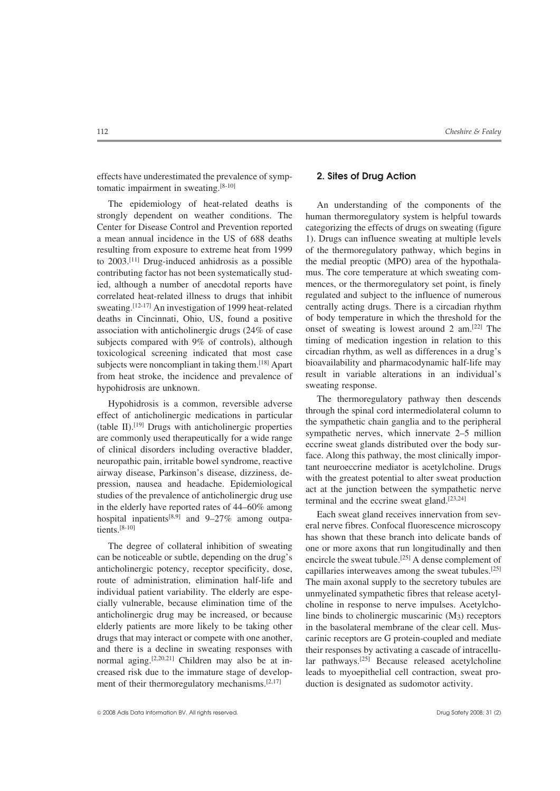effects have underestimated the prevalence of symp- **2. Sites of Drug Action** tomatic impairment in sweating.<sup>[8-10]</sup>

The epidemiology of heat-related deaths is An understanding of the components of the strongly dependent on weather conditions. The human thermoregulatory system is helpful towards Center for Disease Control and Prevention reported categorizing the effects of drugs on sweating (figure a mean annual incidence in the US of 688 deaths 1). Drugs can influence sweating at multiple levels resulting from exposure to extreme heat from 1999 of the thermoregulatory pathway, which begins in to  $2003$ <sup>[11]</sup> Drug-induced anhidrosis as a possible the medial preoptic (MPO) area of the hypothalacontributing factor has not been systematically stud- mus. The core temperature at which sweating comied, although a number of anecdotal reports have mences, or the thermoregulatory set point, is finely correlated heat-related illness to drugs that inhibit regulated and subject to the influence of numerous correlated heat-related illness to drugs that inhibit sweating.<sup>[12-17]</sup> An investigation of 1999 heat-related centrally acting drugs. There is a circadian rhythm deaths in Cincinnati, Ohio, US, found a positive of body temperature in which the threshold for the association with anticholine rgic drugs  $(24\% \text{ of case})$  onset of sweating is lowest around 2 am.<sup>[22]</sup> The association with anticholinergic drugs (24% of case onset of sweating is lowest around 2 am.<sup>[22]</sup> The subjects compared with 9% of controls) although timing of medication ingestion in relation to this subjects compared with 9% of controls), although timing of medication ingestion in relation to this toxicological screening indicated that most case circadian rhythm, as well as differences in a drug's toxicological screening indicated that most case circadian rhythm, as well as differences in a drug's<br>subjects were noncompliant in taking them [18] Apart bioavailability and pharmacodynamic half-life may subjects were noncompliant in taking them.<sup>[18]</sup> Apart bioavailability and pharmacodynamic half-life may<br>from heat stroke, the incidence and prevalence of result in variable alterations in an individual's from heat stroke, the incidence and prevalence of result in variable<br>hypobidrosis are unknown hypohidrosis are unknown.

in the elderly have reported rates of 44–60% among<br>hospital inpatients<sup>[8,9]</sup> and 9–27% among outpa-<br>tients.<sup>[8-10]</sup> Each sweat gland receives innervation from sev-<br>eral nerve fibres. Confocal fluorescence microscopy

The degree of collateral inhibition of sweating one or more axons that run longitudinally and then can be noticeable or subtle, depending on the drug's encircle the sweat tubule  $[25]$  A dense complement of can be noticeable or subtle, depending on the drug's encircle the sweat tubule.<sup>[25]</sup> A dense complement of anticholinergic potency, receptor specificity, dose, capillaries interweaves among the sweat tubules.<sup>[25]</sup> anticholinergic potency, receptor specificity, dose, capillaries interweaves among the sweat tubules.<sup>[25]</sup><br>route of administration, elimination half-life and The main axonal supply to the secretory tubules are individual patient variability. The elderly are espe-<br>cially vulnerable, because elimination time of the choline in response to nerve impulses. Acetylchocially vulnerable, because elimination time of the choline in response to nerve impulses. Acetylcho-<br>anticholinergic drug may be increased, or because line binds to cholinergic muscarinic (M3) receptors anticholinergic drug may be increased, or because line binds to cholinergic muscarinic  $(M_3)$  receptors elderly patients are more likely to be taking other in the basolateral membrane of the clear cell. Musdrugs that may interact or compete with one another, carinic receptors are G protein-coupled and mediate and there is a decline in sweating responses with their responses by activating a cascade of intracellunormal aging.<sup>[2,20,21]</sup> Children may also be at in- lar pathways.<sup>[25]</sup> Because released acetylcholine creased risk due to the immature stage of develop- leads to myoepithelial cell contraction, sweat proment of their thermoregulatory mechanisms.<sup>[2,17]</sup> duction is designated as sudomotor activity.

Hypohidrosis is a common, reversible adverse<br>
effect of anticholinergic medications in particular<br>
(table II).<sup>[19]</sup> Drugs with anticholinergic properties<br>
are commonly used therapeutically for a wide range<br>
of clinical di

has shown that these branch into delicate bands of The main axonal supply to the secretory tubules are in the basolateral membrane of the clear cell. Mustheir responses by activating a cascade of intracellu-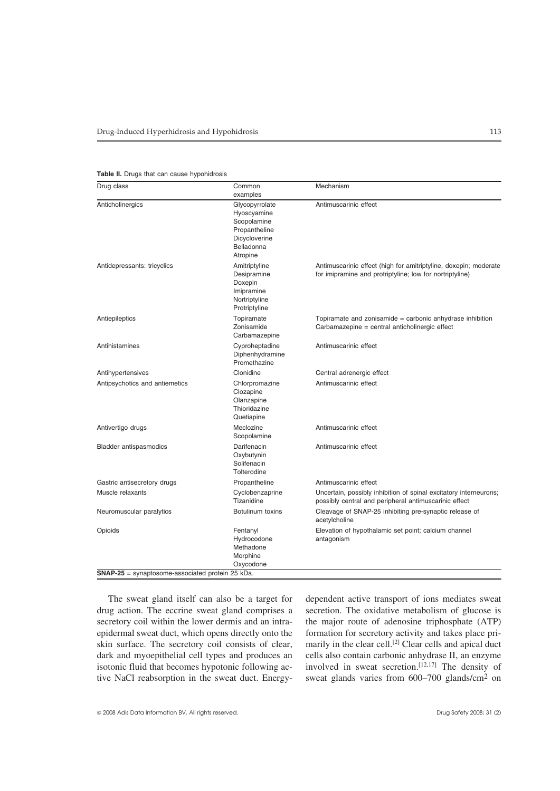### **Table II.** Drugs that can cause hypohidrosis

| Drug class                                       | Common                                                                                                   | Mechanism                                                                                                                    |
|--------------------------------------------------|----------------------------------------------------------------------------------------------------------|------------------------------------------------------------------------------------------------------------------------------|
|                                                  | examples                                                                                                 |                                                                                                                              |
| Anticholinergics                                 | Glycopyrrolate<br>Hyoscyamine<br>Scopolamine<br>Propantheline<br>Dicycloverine<br>Belladonna<br>Atropine | Antimuscarinic effect                                                                                                        |
| Antidepressants: tricyclics                      | Amitriptyline<br>Desipramine<br>Doxepin<br>Imipramine<br>Nortriptyline<br>Protriptyline                  | Antimuscarinic effect (high for amitriptyline, doxepin; moderate<br>for imipramine and protriptyline; low for nortriptyline) |
| Antiepileptics                                   | Topiramate<br>Zonisamide<br>Carbamazepine                                                                | Topiramate and zonisamide = carbonic anhydrase inhibition<br>Carbamazepine = central anticholinergic effect                  |
| Antihistamines                                   | Cyproheptadine<br>Diphenhydramine<br>Promethazine                                                        | Antimuscarinic effect                                                                                                        |
| Antihypertensives                                | Clonidine                                                                                                | Central adrenergic effect                                                                                                    |
| Antipsychotics and antiemetics                   | Chlorpromazine<br>Clozapine<br>Olanzapine<br>Thioridazine<br>Quetiapine                                  | Antimuscarinic effect                                                                                                        |
| Antivertigo drugs                                | Meclozine<br>Scopolamine                                                                                 | Antimuscarinic effect                                                                                                        |
| <b>Bladder antispasmodics</b>                    | Darifenacin<br>Oxybutynin<br>Solifenacin<br>Tolterodine                                                  | Antimuscarinic effect                                                                                                        |
| Gastric antisecretory drugs                      | Propantheline                                                                                            | Antimuscarinic effect                                                                                                        |
| Muscle relaxants                                 | Cyclobenzaprine<br>Tizanidine                                                                            | Uncertain, possibly inhibition of spinal excitatory interneurons;<br>possibly central and peripheral antimuscarinic effect   |
| Neuromuscular paralytics                         | Botulinum toxins                                                                                         | Cleavage of SNAP-25 inhibiting pre-synaptic release of<br>acetylcholine                                                      |
| Opioids                                          | Fentanyl<br>Hydrocodone<br>Methadone<br>Morphine<br>Oxycodone                                            | Elevation of hypothalamic set point; calcium channel<br>antagonism                                                           |
| SNAP-25 = synaptosome-associated protein 25 kDa. |                                                                                                          |                                                                                                                              |

drug action. The eccrine sweat gland comprises a secretion. The oxidative metabolism of glucose is secretory coil within the lower dermis and an intra-<br>the major route of adenosine triphosphate (ATP) epidermal sweat duct, which opens directly onto the formation for secretory activity and takes place pri-<br>skin surface. The secretory coil consists of clear, marily in the clear cell.<sup>[2]</sup> Clear cells and apical duct skin surface. The secretory coil consists of clear, dark and myoepithelial cell types and produces an cells also contain carbonic anhydrase II, an enzyme<br>isotonic fluid that becomes hypotonic following ac-<br>involved in sweat secretion.<sup>[12,17]</sup> The density of isotonic fluid that becomes hypotonic following active NaCl reabsorption in the sweat duct. Energy- sweat glands varies from 600–700 glands/cm<sup>2</sup> on

The sweat gland itself can also be a target for dependent active transport of ions mediates sweat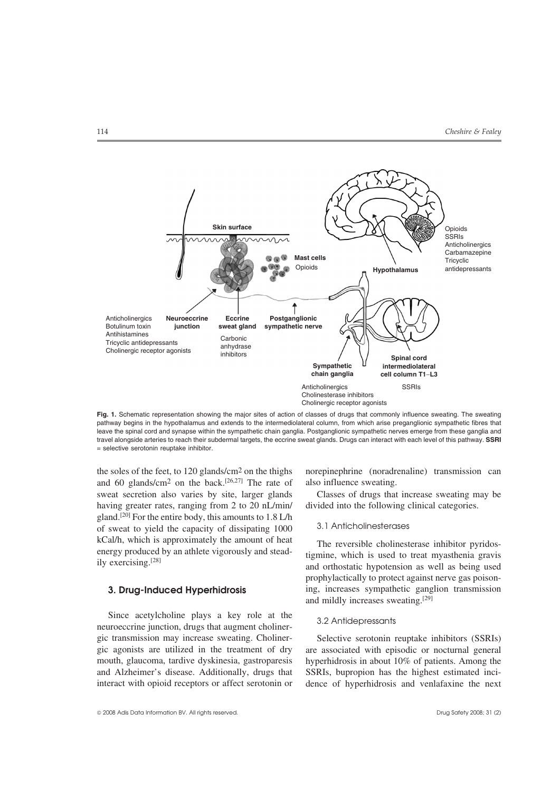

Fig. 1. Schematic representation showing the major sites of action of classes of drugs that commonly influence sweating. The sweating pathway begins in the hypothalamus and extends to the intermediolateral column, from which arise preganglionic sympathetic fibres that leave the spinal cord and synapse within the sympathetic chain ganglia. Postganglionic sympathetic nerves emerge from these ganglia and travel alongside arteries to reach their subdermal targets, the eccrine sweat glands. Drugs can interact with each level of this pathway. **SSRI** = selective serotonin reuptake inhibitor.

and 60 glands/cm<sup>2</sup> on the back.<sup>[26,27]</sup> The rate of also influence sweating. sweat secretion also varies by site, larger glands Classes of drugs that increase sweating may be having greater rates, ranging from 2 to 20 nL/min/ divided into the following clinical categories. gland.<sup>[20]</sup> For the entire body, this amounts to  $1.8$  L/h of sweat to yield the capacity of dissipating 1000 3.1 Anticholinester ases kCal/h, which is approximately the amount of heat<br>energy produced by an athlete vigorously and stead-<br>igmine, which is used to treat myasthenia gravis<br>and orthostatic hypotension as well as being used

Since acetylcholine plays a key role at the 3.2 Antidepressants neuroeccrine junction, drugs that augment cholinergic transmission may increase sweating. Choliner- Selective serotonin reuptake inhibitors (SSRIs) gic agonists are utilized in the treatment of dry are associated with episodic or nocturnal general mouth, glaucoma, tardive dyskinesia, gastroparesis hyperhidrosis in about 10% of patients. Among the and Alzheimer's disease. Additionally, drugs that SSRIs, bupropion has the highest estimated inci-

the soles of the feet, to 120 glands/cm2 on the thighs norepinephrine (noradrenaline) transmission can

and orthostatic hypotension as well as being used prophylactically to protect against nerve gas poison-**3. Drug-Induced Hyperhidrosis** ing, increases sympathetic ganglion transmission and mildly increases sweating.[29]

interact with opioid receptors or affect serotonin or dence of hyperhidrosis and venlafaxine the next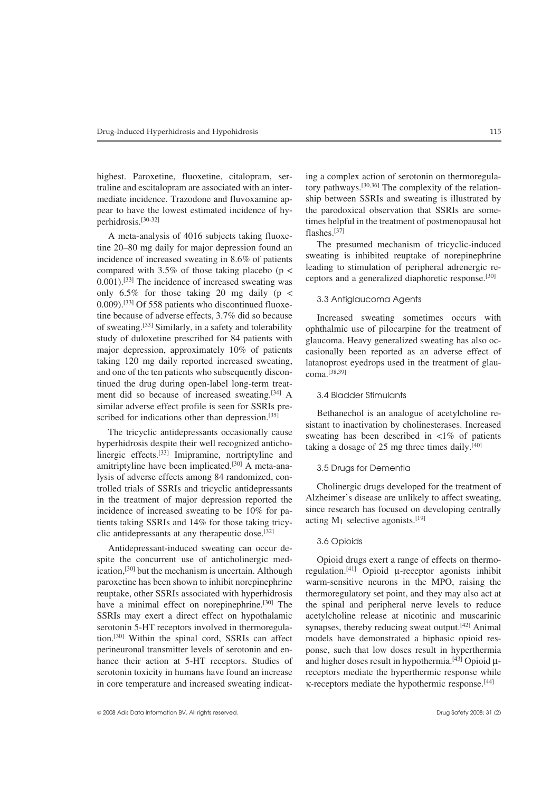traline and escitalopram are associated with an inter-<br>tory pathways.<sup>[30,36]</sup> The complexity of the relationmediate incidence. Trazodone and fluvoxamine ap- ship between SSRIs and sweating is illustrated by pear to have the lowest estimated incidence of hy- the parodoxical observation that SSRIs are some-

A meta-analysis of 4016 subjects taking fluoxe-<br>tine 20–80 mg daily for major depression found an<br>incidence of increased sweating in 8.6% of patients<br>compared with 3.5% of those taking placebo ( $p <$ <br>0.001)<sup>[33]</sup> The incid  $0.001$ ).<sup>[33]</sup> The incidence of increased sweating was only  $6.5\%$  for those taking 20 mg daily (p <  $3.3$  Antiglaucoma Agents 0.009).<sup>[33]</sup> Of 558 patients who discontinued fluoxetine because of adverse effects, 3.7% did so because Increased sweating sometimes occurs with study of duloxetine prescribed for 84 patients with glaucoma. Heavy generalized sweating has also oc-<br>major depression, approximately 10% of patients casionally been reported as an adverse effect of major depression, approximately 10% of patients casionally been reported as an adverse effect of taking 120 mg daily reported increased sweating, latanoprost evedrops used in the treatment of glauand one of the ten patients who subsequently discontinued the drug during open-label long-term treatment did so because of increased sweating.<sup>[34]</sup> A 3.4 Bladder Stimulants similar adverse effect profile is seen for SSRIs pre-<br>scribed for indications other than depression.<sup>[35]</sup> Bethanechol is an analogue of acetylcholine re-<br>sistant to inactivation by cholinesterases. Increased

The tricyclic antidepressants occasionally cause<br>hyperhidrosis despite their well recognized antichology sweating has been described in <1% of patients<br>taking a dosage of 25 mg three times daily.<sup>[40]</sup> linergic effects.[33] Imipramine, nortriptyline and amitriptyline have been implicated.<sup>[30]</sup> A meta-ana- 3.5 Drugs for Dementia lysis of adverse effects among 84 randomized, conincidence of increased sweating to be 10% for pa-<br>tients taking SSRIs and 14% for those taking tricy-<br>acting M<sub>1</sub> selective agonists.<sup>[19]</sup> tients taking SSRIs and  $14\%$  for those taking tricyclic antidepressants at any therapeutic dose.[32]

3.6 Opioids Antidepressant-induced sweating can occur despite the concurrent use of anticholinergic med-<br>
Opioid drugs exert a range of effects on thermoication,<sup>[30]</sup> but the mechanism is uncertain. Although regulation.<sup>[41]</sup> Opioid  $\mu$ -receptor agonists inhibit paroxetine has been shown to inhibit norepinephrine warm-sensitive neurons in the MPO, raising the reuptake, other SSRIs associated with hyperhidrosis thermoregulatory set point, and they may also act at have a minimal effect on norepinephrine.<sup>[30]</sup> The the spinal and peripheral nerve levels to reduce SSRIs may exert a direct effect on hypothalamic acetylcholine release at nicotinic and muscarinic serotonin 5-HT receptors involved in thermoregula-<br>synapses, thereby reducing sweat output.<sup>[42]</sup> Animal tion.[30] Within the spinal cord, SSRIs can affect models have demonstrated a biphasic opioid resperineuronal transmitter levels of serotonin and en- ponse, such that low doses result in hyperthermia hance their action at 5-HT receptors. Studies of and higher doses result in hypothermia.<sup>[43]</sup> Opioid µserotonin toxicity in humans have found an increase receptors mediate the hyperthermic response while in core temperature and increased sweating indicat-<br>
κ-receptors mediate the hypothermic response.<sup>[44]</sup>

highest. Paroxetine, fluoxetine, citalopram, ser- ing a complex action of serotonin on thermoregulaperhidrosis.<sup>[30-32]</sup> times helpful in the treatment of postmenopausal hot flashes.[37]

of sweating.<sup>[33]</sup> Similarly, in a safety and tolerability ophthalmic use of pilocarpine for the treatment of study of duloxetine prescribed for 84 patients with glaucoma. Heavy generalized sweating has also oclatanoprost eyedrops used in the treatment of glau-<br>coma<sup>[38,39]</sup>

trolled trials of SSRIs and tricyclic antidepressants<br>in the treatment of major depression reported the Alzheimer's disease are unlikely to affect sweating, in the treatment of major depression reported the Alzheimer's disease are unlikely to affect sweating, incidence of increased sweating to be  $10\%$  for particle research has focused on developing centrally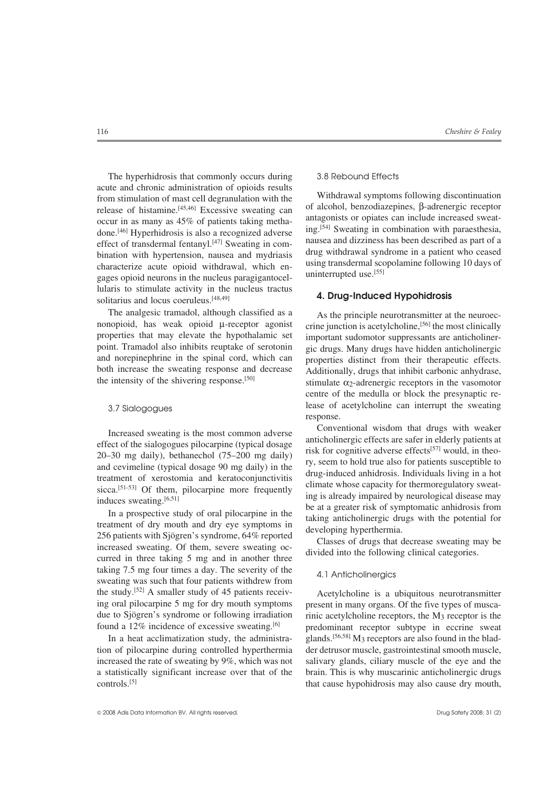The hyperhidrosis that commonly occurs during 3.8 Rebound Effects acute and chronic administration of opioids results<br>from stimulation of mast cell degranulation with the<br>release of histamine.<sup>[45,46]</sup> Excessive sweating can<br>occur in as many as 45% of patients taking metha-<br>done.<sup>[46]</sup> gages opioid neurons in the nucleus paragigantocellularis to stimulate activity in the nucleus tractus **4. Drug-Induced Hypohidrosis** solitarius and locus coeruleus.[48,49]

The analgesic tramadol, although classified as a  $\mu$ -receptor agonist as the principle neurotransmitter at the neuroec-<br>nonopioid, has weak opioid  $\mu$ -receptor agonist crine iunction is acetylcholine.<sup>[56]</sup> the most cli nonopioid, has weak opioid  $\mu$ -receptor agonist crine junction is acetylcholine,<sup>[56]</sup> the most clinically properties that may elevate the hypothalamic set important sudomotor suppressants are anticholinerproperties that may elevate the hypothalamic set important sudomotor suppressants are anticholiner-<br>point. Tramadol also inhibits reuptake of serotonin sic drugs Many drugs have hidden anticholinergic point. Tramadol also inhibits reuptake of serotonin gic drugs. Many drugs have hidden anticholinergic and norepinephrine in the spinal cord, which can properties distinct from their therapeutic effects and norepinephrine in the spinal cord, which can properties distinct from their therapeutic effects.<br>both increase the sweating response and decrease Additionally drugs that inhibit carbonic anhydrase both increase the sweating response and decrease Additionally, drugs that inhibit carbonic anhydrase,<br>the intensity of the shivering response.<sup>[50]</sup> stimulate  $\alpha$ -adrenergic receptors in the vasomotor

In a prospective study of oral pilocarpine in the<br>treatment of dry mouth and dry eye symptoms in<br>256 patients with Sjögren's syndrome, 64% reported<br>increased sweating. Of them, severe sweating oc-<br>curred in three taking 5 taking 7.5 mg four times a day. The severity of the 4.1 Anticholinergics sweating was such that four patients withdrew from the study.[52] A smaller study of 45 patients receiv- Acetylcholine is a ubiquitous neurotransmitter ing oral pilocarpine 5 mg for dry mouth symptoms present in many organs. Of the five types of musca-

tion of pilocarpine during controlled hyperthermia der detrusor muscle, gastrointestinal smooth muscle, controls.<sup>[5]</sup> that cause hypohidrosis may also cause dry mouth,

stimulate  $\alpha_2$ -adrenergic receptors in the vasomotor centre of the medulla or block the presynaptic release of acetylcholine can interrupt the sweating 3.7 Sialogogues response.

Increased sweating is the most common adverse<br>
effect of the sialogogues pilocarpine (typical dosage<br>
20–30 mg daily), bethanechol (75–200 mg daily) in the<br>
and cevimeline (typical dosage 90 mg daily) in the<br>
treatment of

due to Sjögren's syndrome or following irradiation inic acetylcholine receptors, the M<sub>3</sub> receptor is the found a 12% incidence of excessive sweating.<sup>[6]</sup> predominant receptor subtype in eccrine sweat predominant receptor subtype in eccrine sweat In a heat acclimatization study, the administra-<br>glands.<sup>[56,58]</sup> M<sub>3</sub> receptors are also found in the bladincreased the rate of sweating by 9%, which was not salivary glands, ciliary muscle of the eye and the a statistically significant increase over that of the brain. This is why muscarinic anticholinergic drugs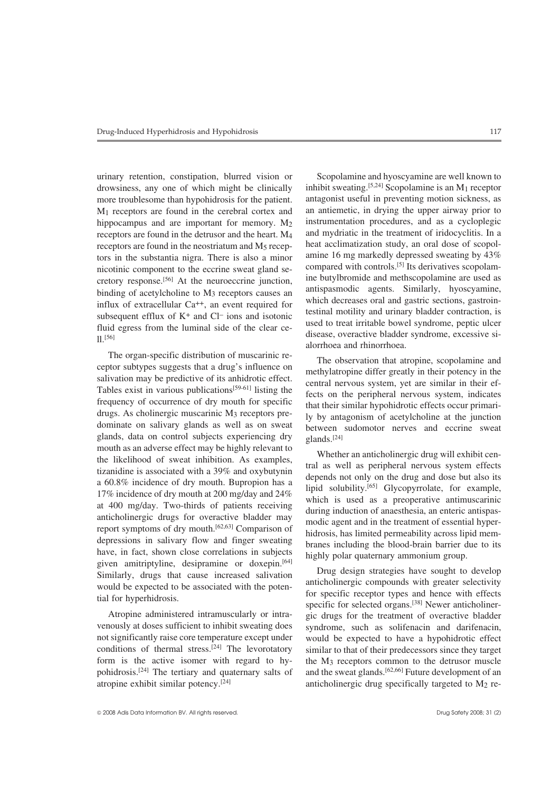drowsiness, any one of which might be clinically inhibit sweating.<sup>[5,24]</sup> Scopolamine is an M<sub>1</sub> receptor more troublesome than hypohidrosis for the patient. antagonist useful in preventing motion sickness, as  $M_1$  receptors are found in the cerebral cortex and an antiemetic, in drying the upper airway prior to hippocampus and are important for memory.  $M_2$  instrumentation procedures, and as a cycloplegic hippocampus and are important for memory.  $M_2$  instrumentation procedures, and as a cycloplegic receptors are found in the detrusor and the heart  $M_4$  and mydriatic in the treatment of iridocyclitis. In a receptors are found in the detrusor and the heart.  $M_4$  and mydriatic in the treatment of iridocyclitis. In a  $1$  receptors are found in the neostriatum and  $M_5$  receptors are found in the neostriatum and  $M_5$  receptor receptors are found in the neostriatum and  $M_5$  recep-<br>tors in the substantia nigra. There is also a minor amine 16 mg markedly depressed sweating by 43% tors in the substantia nigra. There is also a minor amine 16 mg markedly depressed sweating by  $43\%$ <br>nicotinic component to the eccrips sweat gland secondary compared with controls.<sup>[5]</sup> Its derivatives scopolamnicotinic component to the eccrine sweat gland se-<br>cretory response.<sup>[56]</sup> At the neuroeccrine junction,<br>binding of acetylcholine to M<sub>3</sub> receptors causes an<br>influx of extracellular Ca<sup>++</sup>, an event required for<br>subsequent subsequent efflux of K<sup>+</sup> and Cl<sup>-</sup> ions and isotonic<br>fluid egress from the luminal side of the clear ce-<br> $\frac{11}[56]$ <br>lexessive si-

The organ-specific distribution of muscarinic re-<br>ceptor subtypes suggests that a drug's influence on<br>salivation may be predictive of its anhidrotic effect.<br>Tables exist in various publications<sup>[59-61]</sup> listing the<br>frequen glands, data on control subjects experiencing dry glands.<sup>[24]</sup><br>mouth as an adverse effect may be highly relevant to mouth as an adverse effect may be highly relevant to<br>the likelihood of sweat inhibition. As examples,<br>tizanidine is associated with a 39% and oxybutynin<br>a 60.8% incidence of dry mouth. Bupropion has a<br>17% incidence of dry

Atropine administered intramuscularly or intra-<br>verously at doses sufficient to inhibit sweating does<br>syndrome, such as solifenacin and darifenacin. not significantly raise core temperature except under would be expected to have a hypohidrotic effect conditions of thermal stress.<sup>[24]</sup> The levorotatory similar to that of their predecessors since they target conditions of thermal stress.<sup>[24]</sup> The levorotatory similar to that of their predecessors since they target form is the active isomer with regard to hy- the  $M_3$  receptors common to the detrusor muscle pohidrosis.<sup>[24]</sup> The tertiary and quaternary salts of atropine exhibit similar potency.<sup>[24]</sup> anticholinergic drug specifically targeted to  $M_2$  re-

urinary retention, constipation, blurred vision or Scopolamine and hyoscyamine are well known to alorrhoea and rhinorrhoea.

given amitriptyline, desipramine or doxepin.<sup>[64]</sup> Drug design strategies have sought to develop<br>Similarly, drugs that cause increased salivation<br>would be expected to be associated with the poten-<br>tial for hyperhidrosis.<br>A syndrome, such as solifenacin and darifenacin, the  $M_3$  receptors common to the detrusor muscle and the sweat glands.<sup>[62,66]</sup> Future development of an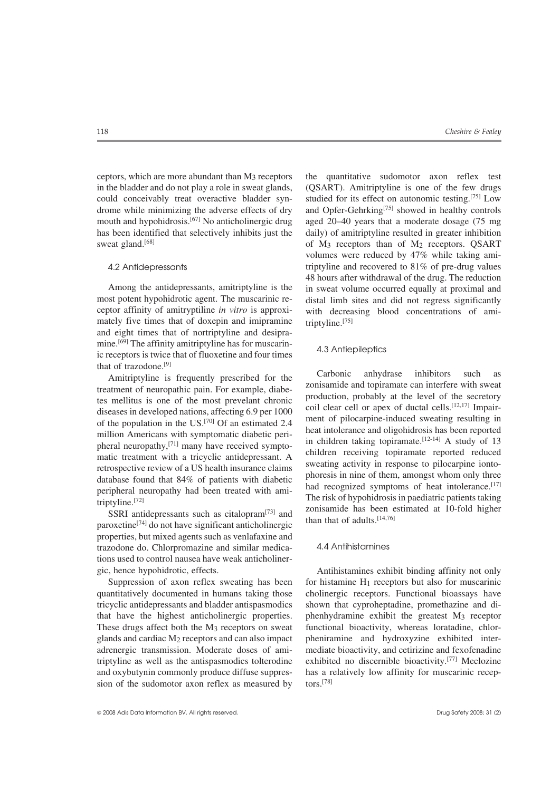in the bladder and do not play a role in sweat glands, (QSART). Amitriptyline is one of the few drugs could conceivably treat overactive bladder syn-<br>studied for its effect on autonomic testing.[75] Low drome while minimizing the adverse effects of dry and Opfer-Gehrking<sup>[75]</sup> showed in healthy controls mouth and hypohidrosis.<sup>[67]</sup> No anticholinergic drug aged 20–40 years that a moderate dosage (75 mg has been identified that selectively inhibits just the daily) of amitriptyline resulted in greater inhibition sweat gland.<sup>[68]</sup> of M<sub>3</sub> receptors than of M<sub>2</sub> receptors. QSART

most potent hypohidrotic agent. The muscarinic re-<br>ceptor affinity of amitryptiline *in vitro* is approxi-<br>with decreasing blood concentrations of amimately five times that of doxepin and imipramine triptyline.<sup>[75]</sup> and eight times that of nortriptyline and desipramine.<sup>[69]</sup> The affinity amitriptyline has for muscarin-<br>ic receptors is twice that of fluoxetine and four times 4.3 Antiepileptics that of trazodone.[9]

million Americans with symptomatic diabetic peri-<br>pheral neuropathy,<sup>[71]</sup> many have received symptomatic in children taking topiramate.<sup>[12-14]</sup> A study of 13<br>matic treatment with a tricyclic antidepressant. A<br>retrospecti

SSRI antidepressants such as citalopram<sup>[73]</sup> and  $\frac{20118 \text{ am then that of adults.}[14,76]}{\text{than that of adults.}[14,76]}$ paroxetine[74] do not have significant anticholinergic properties, but mixed agents such as venlafaxine and trazodone do. Chlorpromazine and similar medica- 4.4 Antihistamines tions used to control nausea have weak anticholinergic, hence hypohidrotic, effects. Antihistamines exhibit binding affinity not only

quantitatively documented in humans taking those cholinergic receptors. Functional bioassays have tricyclic antidepressants and bladder antispasmodics shown that cyproheptadine, promethazine and dithat have the highest anticholinergic properties. phenhydramine exhibit the greatest M3 receptor These drugs affect both the M<sub>3</sub> receptors on sweat functional bioactivity, whereas loratadine, chlor-<br>glands and cardiac M<sub>2</sub> receptors and can also impact pheniramine and hydroxyzine exhibited interglands and cardiac M<sub>2</sub> receptors and can also impact pheniramine and hydroxyzine exhibited inter-<br>adrenergic transmission. Moderate doses of ami- mediate bioactivity, and cetirizine and fexofenadine adrenergic transmission. Moderate doses of amitriptyline as well as the antispasmodics tolterodine exhibited no discernible bioactivity.[77] Meclozine and oxybutynin commonly produce diffuse suppres- has a relatively low affinity for muscarinic recepsion of the sudomotor axon reflex as measured by tors.<sup>[78]</sup>

ceptors, which are more abundant than M3 receptors the quantitative sudomotor axon reflex test volumes were reduced by 47% while taking ami-4.2 Antidepressants triptyline and recovered to 81% of pre-drug values 48 hours after withdrawal of the drug. The reduction Among the antidepressants, amitriptyline is the in sweat volume occurred equally at proximal and with decreasing blood concentrations of ami-

Amitriptyline is frequently prescribed for the Carbonic anhydrase inhibitors such as<br>treatment of neuropathic pain. For example, diabe-<br>tes mellitus is one of the most prevelant chronic production, probably at the level of peripheral neuropathy had been treated with ami-<br>triptyline.<sup>[72]</sup><br>The risk of hypohidrosis in paediatric patients taking<br>zonisamide has been estimated at 10-fold higher

Suppression of axon reflex sweating has been for histamine H<sub>1</sub> receptors but also for muscarinic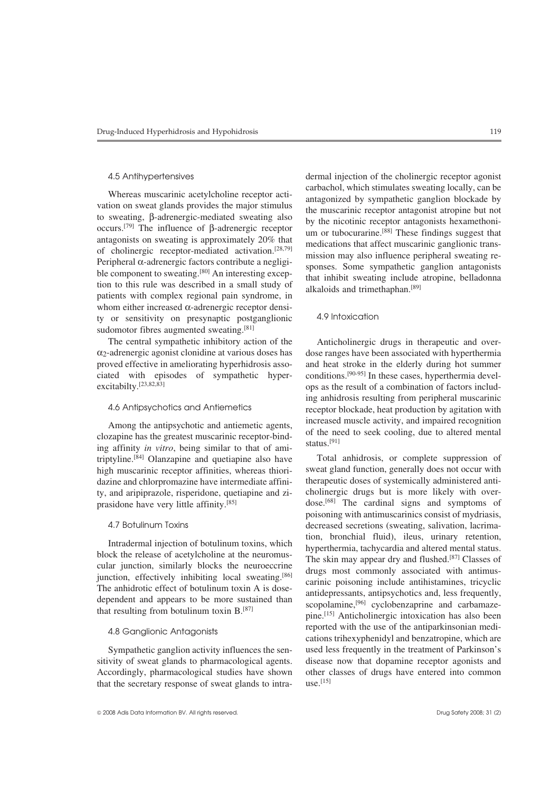occurs.<sup>194</sup> The influence of p-aarenergic receptor<br>antagonists on sweating is approximately 20% that<br>of cholinergic receptor-mediated activation.<sup>[28,79]</sup> medications that affect muscarinic ganglionic trans-<br>mission may Peripheral  $\alpha$ -adrenergic factors contribute a negligi-<br>ble component to sweating.<sup>[80]</sup> An interesting exception solution to this rule was described in a small study of<br>tion to this rule was described in a small study o patients with complex regional pain syndrome, in whom either increased α-adrenergic receptor density or sensitivity on presynaptic postganglionic 4.9 Intoxication sudomotor fibres augmented sweating.<sup>[81]</sup>

ciated with episodes of sympathetic hyper- conditions.<sup>[90-95]</sup> In these cases, hyperthermia devel-<br>excitabilty.<sup>[23,82,83]</sup> ops as the result of a combination of factors includ-

ing affinity *in vitro*, being similar to that of amihigh muscarinic receptor affinities, whereas thiori-<br>dazine and chlorpromazine have intermediate affini-<br>therapeutic doses of systemically administered antidazine and chlorpromazine have intermediate affini-<br>ty, and ariniprazole, risperidone, quetianine and zi-<br>cholinergic drugs but is more likely with overty, and aripiprazole, risperidone, quetiapine and zi-

Accordingly, pharmacological studies have shown other classes of drugs have entered into common that the secretary response of sweat glands to intra- $use^{[15]}$ 

© 2008 Adis Data Information BV. All rights reserved. Drug Safety 2008; 31 (2)

4.5 Antihypertensives dermal injection of the cholinergic receptor agonist Whereas muscarinic acetylcholine receptor acti-<br>various carbachol, which stimulates sweating locally, can be<br>vation on sweat glands provides the major stimulus<br>to sweating.  $\beta$ -adrenergic-mediated sweating also<br>occurs.<sup>[</sup>

The central sympathetic inhibitory action of the Anticholinergic drugs in therapeutic and over- $\alpha_2$ -adrenergic agonist clonidine at various doses has dose ranges have been associated with hyperthermia proved effective in ameliorating hyperhidrosis asso- and heat stroke in the elderly during hot summer ops as the result of a combination of factors including anhidrosis resulting from peripheral muscarinic 4.6 Antipsychotics and Antiemetics receptor blockade, heat production by agitation with Among the antipsychotic and antiemetic agents,<br>clozapine has the greatest muscarinic receptor-bind-<br>status.<sup>[91]</sup><br>status.<sup>[91]</sup>

triptyline.<sup>[84]</sup> Olanzapine and quetiapine also have Total anhidrosis, or complete suppression of high muscarinic receptor affinities, whereas thiori-<br>weat gland function, generally does not occur with prasidone have very little affinity.<sup>[85]</sup> dose.<sup>[68]</sup> The cardinal signs and symptoms of poisoning with antimuscarinics consist of mydriasis, 4.7 Botulinum Toxins decreased secretions (sweating, salivation, lacrima-Intradermal injection of botulinum toxins, which<br>block the release of acetylcholine at the neuromus-<br>cular junction, similarly blocks the neuroeccrine<br>junction, effectively inhibiting local sweating.<sup>[86]</sup> and filter and f junction, effectively inhibiting local sweating.<sup>[86]</sup> carrinic poisoning include antihistamines, tricyclic<br>The anhidrotic effect of botulinum toxin A is dose-<br>dependent and appears to be more sustained than<br>that resultin pine.<sup>[15]</sup> Anticholinergic intoxication has also been reported with the use of the antiparkinsonian medireported with the use of the antiparkinsonian medi- 4.8 Ganglionic Antagonists cations trihexyphenidyl and benzatropine, which are Sympathetic ganglion activity influences the sen- used less frequently in the treatment of Parkinson's sitivity of sweat glands to pharmacological agents. disease now that dopamine receptor agonists and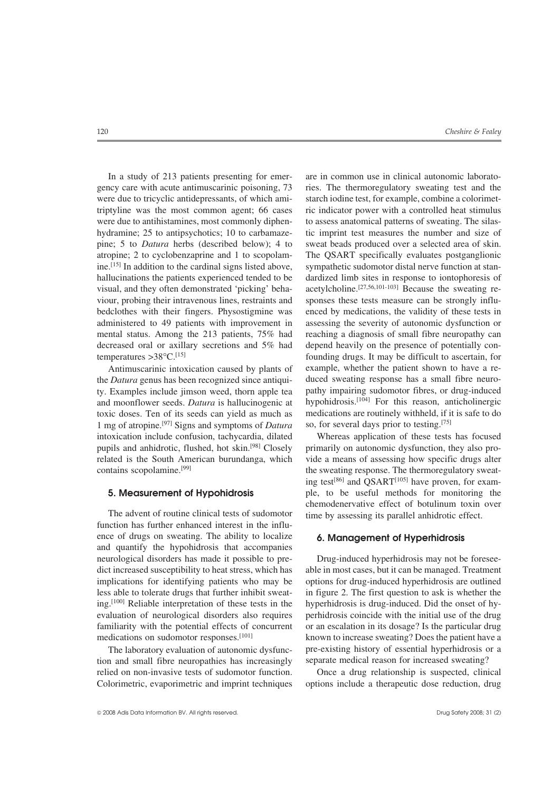were due to tricyclic antidepressants, of which ami-<br>starch iodine test, for example, combine a colorimettriptyline was the most common agent; 66 cases ric indicator power with a controlled heat stimulus were due to antihistamines, most commonly diphen-<br>to assess anatomical patterns of sweating. The silaspine; 5 to *Datura* herbs (described below); 4 to sweat beads produced over a selected area of skin.  $\text{ine}$ .[15] In addition to the cardinal signs listed above, sympathetic sudomotor distal nerve function at stanvisual, and they often demonstrated 'picking' beha- acetylcholine.[27,56,101-103] Because the sweating reviour, probing their intravenous lines, restraints and sponses these tests measure can be strongly influmental status. Among the 213 patients, 75% had reaching a diagnosis of small fibre neuropathy can decreased oral or axillary secretions and 5% had depend heavily on the presence of potentially con-

the *Datura* genus has been recognized since antiqui-<br>duced sweating response has a small fibre neuroand moonflower seeds. *Datura* is hallucinogenic at hypohidrosis.<sup>[104]</sup> For this reason, anticholinergic toxic doses. Ten of its seeds can vield as much as medications are routinely withheld, if it is safe to do toxic doses. Ten of its seeds can yield as much as 1 mg of atropine.<sup>[97]</sup> Signs and symptoms of *Datura* so, for several days prior to testing.<sup>[75]</sup> intoxication include confusion, tachycardia, dilated Whereas application of these tests has focused

function has further enhanced interest in the influence of drugs on sweating. The ability to localize **6. Management of Hyperhidrosis** and quantify the hypohidrosis that accompanies neurological disorders has made it possible to pre- Drug-induced hyperhidrosis may not be foreseedict increased susceptibility to heat stress, which has able in most cases, but it can be managed. Treatment implications for identifying patients who may be options for drug-induced hyperhidrosis are outlined less able to tolerate drugs that further inhibit sweat- in figure 2. The first question to ask is whether the  $ing<sub>1</sub>$ [100] Reliable interpretation of these tests in the hyperhidrosis is drug-induced. Did the onset of hyevaluation of neurological disorders also requires perhidrosis coincide with the initial use of the drug familiarity with the potential effects of concurrent or an escalation in its dosage? Is the particular drug medications on sudomotor responses.<sup>[101]</sup> known to increase sweating? Does the patient have a

tion and small fibre neuropathies has increasingly separate medical reason for increased sweating? relied on non-invasive tests of sudomotor function. Once a drug relationship is suspected, clinical Colorimetric, evaporimetric and imprint techniques options include a therapeutic dose reduction, drug

In a study of 213 patients presenting for emer- are in common use in clinical autonomic laboratogency care with acute antimuscarinic poisoning, 73 ries. The thermoregulatory sweating test and the hydramine; 25 to antipsychotics; 10 to carbamaze- tic imprint test measures the number and size of atropine; 2 to cyclobenzaprine and 1 to scopolam- The QSART specifically evaluates postganglionic hallucinations the patients experienced tended to be dardized limb sites in response to iontophoresis of bedclothes with their fingers. Physostigmine was enced by medications, the validity of these tests in administered to 49 patients with improvement in assessing the severity of autonomic dysfunction or temperatures  $>38^{\circ}C$ .<sup>[15]</sup> founding drugs. It may be difficult to ascertain, for Antimuscarinic intoxication caused by plants of example, whether the patient shown to have a rety. Examples include jimson weed, thorn apple tea pathy impairing sudomotor fibres, or drug-induced and moonflower seeds. *Datura* is hallucinogenic at hypohidrosis.<sup>[104]</sup> For this reason, anticholinergic

pupils and anhidrotic, flushed, hot skin.[98] Closely primarily on autonomic dysfunction, they also prorelated is the South American burundanga, which vide a means of assessing how specific drugs alter contains scopolamine.<sup>[99]</sup> the sweating response. The thermoregulatory sweating test<sup>[86]</sup> and QSART<sup>[105]</sup> have proven, for exam-**5. Measurement of Hypohidrosis** ple, to be useful methods for monitoring the chemodenervative effect of botulinum toxin over The advent of routine clinical tests of sudomotor time by assessing its parallel anhidrotic effect.

The laboratory evaluation of autonomic dysfunc- pre-existing history of essential hyperhidrosis or a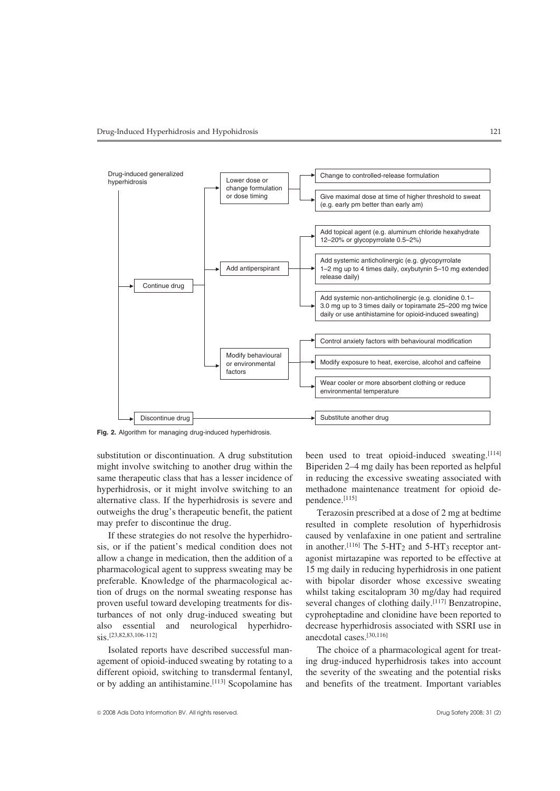

**Fig. 2.** Algorithm for managing drug-induced hyperhidrosis.

substitution or discontinuation. A drug substitution been used to treat opioid-induced sweating.<sup>[114]</sup> might involve switching to another drug within the Biperiden 2–4 mg daily has been reported as helpful same therapeutic class that has a lesser incidence of in reducing the excessive sweating associated with hyperhidrosis, or it might involve switching to an methadone maintenance treatment for opioid dealternative class. If the hyperhidrosis is severe and pendence.<sup>[115]</sup> outweighs the drug's therapeutic benefit, the patient Terazosin prescribed at a dose of 2 mg at bedtime may prefer to discontinue the drug. resulted in complete resolution of hyperhidrosis

sis, or if the patient's medical condition does not in another.<sup>[116]</sup> The 5-HT<sub>2</sub> and 5-HT<sub>3</sub> receptor antallow a change in medication, then the addition of a agonist mirtazapine was reported to be effective at pharmacological agent to suppress sweating may be 15 mg daily in reducing hyperhidrosis in one patient preferable. Knowledge of the pharmacological ac- with bipolar disorder whose excessive sweating tion of drugs on the normal sweating response has whilst taking escitalopram 30 mg/day had required proven useful toward developing treatments for dis-<br>several changes of clothing daily.<sup>[117]</sup> Benzatropine, turbances of not only drug-induced sweating but cyproheptadine and clonidine have been reported to also essential and neurological hyperhidro- decrease hyperhidrosis associated with SSRI use in<br>sis  $^{[23,82,83,106-112]}$ 

agement of opioid-induced sweating by rotating to a ing drug-induced hyperhidrosis takes into account different opioid, switching to transdermal fentanyl, the severity of the sweating and the potential risks or by adding an antihistamine.<sup>[113]</sup> Scopolamine has and benefits of the treatment. Important variables

If these strategies do not resolve the hyperhidro- caused by venlafaxine in one patient and sertraline anecdotal cases<sup>[30,116]</sup>

Isolated reports have described successful man- The choice of a pharmacological agent for treat-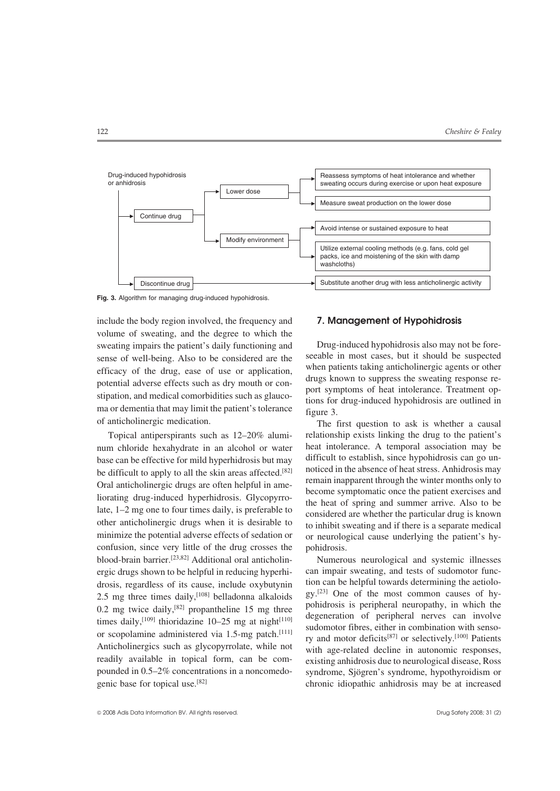

**Fig. 3.** Algorithm for managing drug-induced hypohidrosis.

include the body region involved, the frequency and **7. Management of Hypohidrosis** volume of sweating, and the degree to which the efficacy of the drug, ease of use or application,<br>potential adverse effects such as dry mouth or con-<br>stipation, and medical comorbidities such as glauco-<br>ma or dementia that may limit the patient's tolerance<br>figure 3. of anticholinergic medication. The first question to ask is whether a causal

num chloride hexahydrate in an alcohol or water heat intolerance. A temporal association may be base can be effective for mild hyperhidrosis but may difficult to establish, since hypohidrosis can go un-<br>he difficult to apply to all the ckin grass offected  $\frac{[82]}{]}$  noticed in the absence of heat stress. Anhidrosis be difficult to apply to all the skin areas affected.<sup>[82]</sup> houced in the absence of heat stress. Anhidrosis may be difficult to apply to the skin areas after helpful in summain imapparent through the winter months only to Oral anticholinergic drugs are often helpful in ame-<br>liorating drug-induced hyperhidrosis. Glycopyrro-<br>late, 1–2 mg one to four times daily, is preferable to<br>other anticholinergic drugs when it is desirable to<br>the heat of minimize the potential adverse effects of sedation or or neurological cause underlying the patient's hyconfusion, since very little of the drug crosses the pohidrosis. blood-brain barrier.<sup>[23,82]</sup> Additional oral anticholin-<br>Numerous neurological and systemic illnesses ergic drugs shown to be helpful in reducing hyperhi-<br>drosis regardless of its cause, include oxybutynin tion can be helpful towards determining the aetiolodrosis, regardless of its cause, include oxybutynin tion can be helpful towards determining the aetiolo-<br>2.5 mg three times deily [108] belledonne elkeloids gy.<sup>[23]</sup> One of the most common causes of hy-2.5 mg three times daily,<sup>[108]</sup> belladonna alkaloids gy.<sup>[23]</sup> One of the most common causes of hy-<br>2.3 mg tuliga daily,<sup>[82]</sup> gasocarthaling 15 mg three pohidrosis is peripheral neuropathy, in which the 0.2 mg twice daily,<sup>[82]</sup> propantheline 15 mg three degeneration of peripheral neuropathy, in which the degeneration of peripheral nerves can involve times daily,<sup>[109]</sup> thioridazine 10–25 mg at night<sup>[110]</sup> sudomotor fib or scopolamine administered via 1.5-mg patch.<sup>[111]</sup> Anticholinergics such as glycopyrrolate, while not<br>with age-related decline in autonomic responses,<br>readily available in topical form, can be com-<br>existing antidrosis due to neurological disease Ross pounded in 0.5–2% concentrations in a noncomedo- syndrome, Sjogren's syndrome, hypothyroidism or ¨

sweating impairs the patient's daily functioning and Drug-induced hypohidrosis also may not be fore-<br>sense of well-being. Also to be considered are the seeable in most cases, but it should be suspected sense of well-being. Also to be considered are the seeable in most cases, but it should be suspected<br>of the drug ages of weak are origination when patients taking anticholinergic agents or other

Topical antiperspirants such as  $12-20\%$  alumi-<br>relationship exists linking the drug to the patient's

ry and motor deficits<sup>[87]</sup> or selectively.<sup>[100]</sup> Patients existing anhidrosis due to neurological disease, Ross genic base for topical use.<sup>[82]</sup> chronic idiopathic anhidrosis may be at increased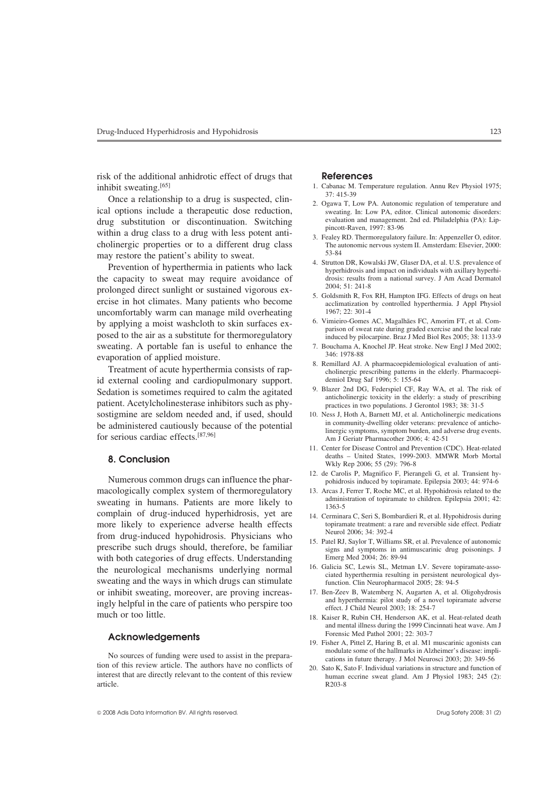risk of the additional anhidrotic effect of drugs that **References**

Once a relationship to a drug is suspected, clin-<br>2. Ogawa T, Low PA. Autonomic regulation of temperature and ical options include a therapeutic dose reduction,<br>
drug substitution or discontinuation Switching<br>
sweating. In: Low PA, editor. Clinical autonomic disorders:<br>
evaluation and management. 2nd ed. Philadelphia (PA): Lipdrug substitution or discontinuation. Switching<br>within a drug class to a drug with less potent anti-<br>cholinergic properties or to a different drug class<br>me autonomic nervous system II. Amsterdam: Elsevier, 2000: cholinergic properties or to a different drug class The automorpheus system II. Amsterdam: Elsevier, 2000: Elsevier, 2000: Elsevier, 2000: Elsevier, 2000: Elsevier, 2000: Elsevier, 2000: Elsevier, 2000: Elsevier, 2000: Els may restore the patient's ability to sweat.<br>
Presention of bursethermia in patients rules lack-<br>
4. Strutton DR, Kowalski JW, Glaser DA, et al. U.S. prevalence of

the capacity to sweat may require avoidance of drosis: results from a national survey of the major capacity of  $\frac{2004; 51: 241-8}{200}$ prolonged direct sunlight or sustained vigorous ex-<br>ercise in hot climates. Many patients who become<br>acclimatization by controlled hyperthermia. J Appl Physiol uncomfortably warm can manage mild overheating<br>hy applying a moist washeloth to skin surfaces ex b. Vimieiro-Gomes AC, Magalhães FC, Amorim FT, et al. Comby applying a moist washcloth to skin surfaces ex-<br>posed to the air as a substitute for thermoregulatory<br>posed to the air as a substitute for thermoregulatory<br>induced by pilocarpine. Braz J Med Biol Res 2005; 38: 1133-9 sweating. A portable fan is useful to enhance the 7. Bouchama A, Knochel JP. Heat stroke. New Engl J Med 2002;<br>346: 1978-88

id external cooling and cardiopulmonary support.<br>
Sedation is sometimes required to calm the agitated and DG, Federspiel CF, Ray WA, et al. The risk of Sedation is sometimes required to calm the agitated<br>patient. Acetylcholinesterase inhibitors such as phy-<br>patients in two populations. J Gerontol 1983; 38: 31-5 sostigmine are seldom needed and, if used, should 10. Ness J, Hoth A, Barnett MJ, et al. Anticholinergic medications<br>he administered aputionally because of the notantial in community-dwelling older veterans: prevalence of be administered cautiously because of the potential in community-dwelling older veterans: prevalence of anticho-<br>for serious cardiac effects.<sup>[87,96]</sup> Am J Geriatr Pharmacother 2006; 4: 42-51

macologically complex system of thermoregulatory 13. Arcas J, Ferrer T, Roche MC, et al. Hypohidrosis related to the<br>
administration of topiramate to children. Epilepsia 2001; 42: sweating in humans. Patients are more likely to  $\frac{\text{admm:}}{1363-5}$ complain of drug-induced hyperhidrosis, yet are 14. Cerminara C, Seri S, Bombardieri R, et al. Hypohidrosis during more likely to experience adverse health effects topiramate treatment: a rare and reversible side effect. Pediatr<br>
Search 1992-4<br>
Neurol 2006: 34: 392-4 from drug-induced hypohidrosis. Physicians who<br>prescribe such drugs should, therefore, be familiar<br>gins and symptoms in antimuscarinic drug poisonings. J with both categories of drug effects. Understanding<br>
the neurological mechanisms underlying normal and the Galicia SC, Lewis SL, Metman LV. Severe topiramate-assothe neurological mechanisms underlying normal<br>sweating and the ways in which drugs can stimulate<br>sweating and the ways in which drugs can stimulate<br>function. Clin Neuropharmacol 2005; 28: 94-5 or inhibit sweating, moreover, are proving increas-<br>inclusionally halpful in the care of patients who perspire too and hyperthermia: pilot study of a novel topiramate adverse ingly helpful in the care of patients who perspire too and hyperthermia: pliot study of a no<br>much or too little.  $\frac{18}{\frac{3254-7}{10}}$  Effect. J Child Neurol 2003; 18: 254-7

No sources of funding were used to assist in the prepara-<br>tion of this review article. The authors have no conflicts of<br>interest that are directly relevant to the content of this review<br>the man eccrine sweat sland. Am I Ph interest that are directly relevant to the content of this review human eccrine sweat gland. Am J Physiol 1983; 245 (2):<br>R203-8 article. R203-8

- 1. Cabanac M. Temperature regulation. Annu Rev Physiol 1975;<br>  $37:415-39$ <br>  $37:415-39$ 
	-
	-
	- A. Strutton DR, Arealy March DR, Kowalski JW, Strutton DR, Kowalski JW, Glasser DA, et al. U.S. prevalence of Preperting and impact on individuals with axillary hyperhi-<br>
	Preperting a value of Prevention and Departual surv
		-
		-
		-
- Evaporation of applied moisture.<br>
Treatment of acute hyperthermia consists of rap-<br>
id external cooling and cardiopulmonary support.<br>
Evaporation of anti-<br>
demiol Drug Saf 1996; 5: 155-64
	-
	-
	- 11. Center for Disease Control and Prevention (CDC). Heat-related **8. Conclusion**<br>
	Wkly Rep 2006; 55 (29): 796-8<br>
	Wkly Rep 2006; 55 (29): 796-8
	- 12. de Carolis P, Magnifico F, Pierangeli G, et al. Transient hy-<br>pohidrosis induced by topiramate. Epilepsia 2003; 44: 974-6
		-
		-
		-
		-
		-
		- 18. Kaiser R, Rubin CH, Henderson AK, et al. Heat-related death and mental illness during the 1999 Cincinnati heat wave. Am J
	- Forensic Med Pathol 2001; 22: 303-7<br>
	19. Fisher A, Pittel Z, Haring B, et al. M1 muscarinic agonists can<br>
	modulate some of the hallmarks in Alzheimer's disease: impli-
		-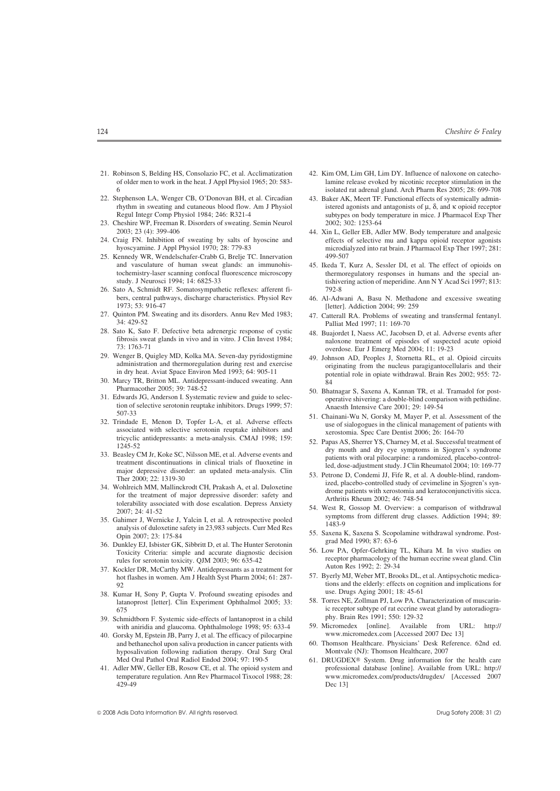- of older men to work in the heat. J Appl Physiol 1965; 20: 583-
- 22. Stephenson LA, Wenger CB, O'Donovan BH, et al. Circadian 43. Baker AK, Meert TF. Functional effects of systemically admin-
- 23. Cheshire WP, Freeman R. Disorders of sweating. Semin Neurol 2002; 302: 1253-64 2003; 23 (4): 399-406 44. Xin L, Geller EB, Adler MW. Body temperature and analgesic
- 
- 25. Kennedy WR, Wendelschafer-Crabb G, Brelje TC. Innervation 499-507
- 26. Sato A, Schmidt RF. Somatosympathetic reflexes: afferent fi- 792-8 bers, central pathways, discharge characteristics. Physiol Rev 46. Al-Adwani A, Basu N. Methadone and excessive sweating 1973; 53: 916-47 [letter]. Addiction 2004: 99: 259 1973; 53: 916-47<br>27. Quinton PM. Sweating and its disorders. Annu Rev Med 1983; 47. Catterall RA. Problems of sweating and its disorders. Annu Rev Med 1983; 47. Catterall RA. Problems of sweating
- 34: 429-52<br>
28. Sato K, Sato F. Defective beta adrenergic response of cystic<br>
28. Sato K, Sato F. Defective beta adrenergic response of cystic<br>
28. Buajordet I Naess AC Jacobse
- 
- 
- 30. Marcy TR, Britton ML. Antidepressant-induced sweating. Ann 84<br>Pharmacother 2005; 39: 748-52 50. Bba
- 
- 
- 
- 
- 
- 
- 
- 38. Kumar H, Sony P, Gupta V. Profound sweating episodes and use. Drugs Aging 2001; 18: 45-61<br>38. Torres NE, Zollman PJ, Low PA. Characterization of muscarin-<br>38. Torres NE, Zollman PJ, Low PA. Characterization of muscarin latanoprost [letter]. Clin Experiment Ophthalmol 2005; 33:
- 39. Schmidtborn F. Systemic side-effects of lantanoprost in a child phy. Brain Res 1991; 550: 129-32 with aniridia and glaucoma. Ophthalmologe 1998; 95: 633-4 59. Micromedex [online]. Available
- 40. Gorsky M, Epstein JB, Parry J, et al. The efficacy of pilocarpine and bethanechol upon saliva production in cancer patients with 60. Thomson Healthcare. Physicians' Desk Reference. 62nd ed.<br>hyposalivation following radiation therapy. Oral Surg Oral Montvale (NJ): Thomson Healthcare, 2007 hyposalivation following radiation therapy. Oral Surg Oral Med Oral Pathol Oral Radiol Endod 2004; 97: 190-5 61. DRUGDEX<sup>®</sup> System. Drug information for the health care
- temperature regulation. Ann Rev Pharmacol Tixocol 1988; 28: 429-49 429-49 Dec 13]
- 21. Robinson S, Belding HS, Consolazio FC, et al. Acclimatization 42. Kim OM, Lim GH, Lim DY. Influence of naloxone on catecho-<br>of older men to work in the heat. J Appl Physiol 1965: 20: 583-<br>lamine release evoked by nicot isolated rat adrenal gland. Arch Pharm Res 2005; 28: 699-708
	- rhythm in sweating and cutaneous blood flow. Am J Physiol istered agonists and antagonists of μ, δ, and κ opioid receptor Regul Integr Comp Physiol 1984; 246: R321-4 subtypes on body temperature in mice. J Pharmacol Exp T subtypes on body temperature in mice. J Pharmacol Exp Ther
- 24. Craig FN. Inhibition of sweating by salts of hyoscine and effects of selective mu and kappa opioid receptor agonists hyoscyamine. J Appl Physiol 1970; 28: 779-83 microdialyzed into rat brain. J Pharmacol Exp Ther 1997; 281:
	- and vasculature of human sweat glands: an immunohis-<br>tochemistry-laser scanning confocal fluorescence microscopy<br>thermoregulatory responses in humans and the special antochemistry-laser scanning confocal fluorescence microscopy thermoregulatory responses in humans and the special an-<br>study. J Neurosci 1994; 14: 6825-33 tishivering action of meperidine. Ann N Y Acad Sci 1997; 813: tishivering action of meperidine. Ann N Y Acad Sci 1997; 813:
		-
	- 27. Quinton PM. Sweating and its disorders. Annu Rev Med 1983; 47. Catterall RA. Problems of sweating and transfermal fentanyl.<br>
	24. Annu Rev Med 1983; Palliet Med 1997: 11: 169.70
- 28. Sato K, Sato F. Defective beta adrenergic response of cystic and the surface of cystic and in vitro. J Clin Invest 1984;<br>
The surface of the state of episodes of suspected acute opioid<br>
29. Wenger B, Quigley MD, Kolka
	- wenger B, Quigley MD, Kolka MA. Seven-day pyridostigmine<br>administration and thermoregulation during rest and exercise<br>in dry heat. Aviat Space Environ Med 1993; 64: 905-11<br>potential role in opiate withdrawal. Brain Res 200
- Framacomer 2005; 39: 748-52<br>31. Edwards JG, Anderson I. Systematic review and guide to selec-<br>50. Bhatnagar S, Saxena A, Kannan TR, et al. Tramadol for post-<br>507-33<br>507-33
	-
	-
- 30. Trindae E, Menon D, Topfer L-A, et al. Adverse effects<br>
31. Chainani-Wu N, Gorsky M, Mayer P, et al. Assessment of the<br>
associated with selective serotonin reuptake inhibitors and<br>
area-analysis. CMAJ 1998; 159:<br>
1245
	-
	-
	-
	-
	- 675 ic receptor subtype of rat eccrine sweat gland by autoradiogra-<br>
	Schmidthorn F. Systemic side-effects of lantanonrost in a child phy. Brain Res 1991; 550: 129-32
	- with aniridia and glaucoma. Ophthalmologe 1998; 95: 633-4 59. Micromedex [online]. Available from URL: http://<br>Sorsky M. Epstein JB. Parry J. et al. The efficacy of pilocarpine www.micromedex.com [Accessed 2007 Dec 13]
		-
- 41. Adler MW, Geller EB, Rosow CE, et al. The opioid system and professional database [online]. Available from URL: http://<br>temperature regulation. Ann Rev Pharmacol Tixocol 1988; 28: www.micromedex.com/products/drugdex/ [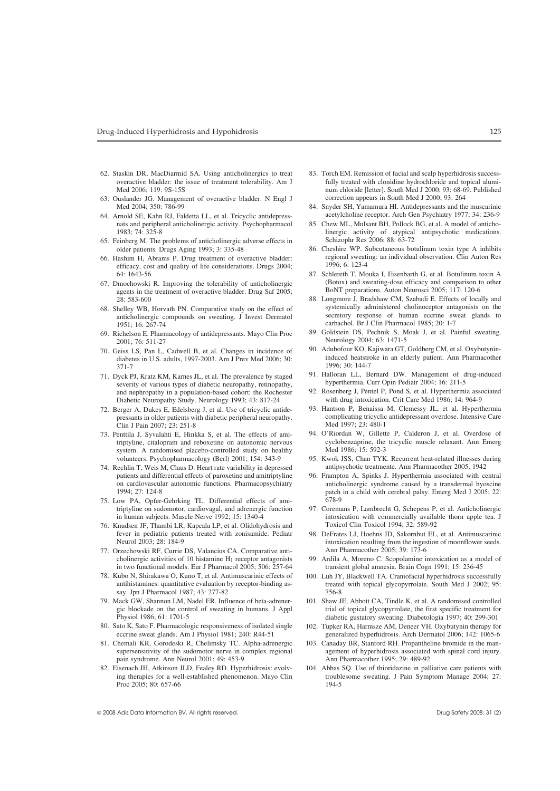- 62. Staskin DR, MacDiarmid SA. Using anticholinergics to treat 83. Torch EM. Remission of facial and scalp hyperhidrosis successoveractive bladder: the issue of treatment tolerability. Am J
- 63. Ouslander JG. Management of overactive bladder. N Engl J correction appears in South Med J 2000; 93: 264
- 64. Arnold SE, Kahn RJ, Faldetta LL, et al. Tricyclic antidepress- acetylcholine receptor. Arch Gen Psychiatry 1977; 34: 236-9 nats and peripheral anticholinergic activity. Psychopharmacol 1983; 74: 325-8
- 65. Feinberg M. The problems of anticholinergic adverse effects in Schizophr Res 2006; 88: 63-72
- 66. Hashim H, Abrams P. Drug treatment of overactive bladder: regional sweating: regional sweating: efficacy cost and quality of life considerations. Drugs 2004. efficacy, cost and quality of life considerations. Drugs 2004;
- 67. Dmochowski R. Improving the tolerability of anticholinergic (Botox) and sweating-dose efficacy and comparison to agents in the treatment of overactive bladder Drug Saf 2005. agents in the treatment of overactive bladder. Drug Saf 2005; 28: 583-600
- 68. Shelley WB, Horvath PN. Comparative study on the effect of systemically administered cholinoceptor antagonists on the anticholinergic compounds on sweating. J Invest Dermatol secretory response of human eccrine sweat g anticholinergic compounds on sweating. J Invest Dermatol 1951; 16: 267-74
- 89. Goldstein DS, Pechnik S, Moak J, et al. Painful sweating.<br>2001; 76: 511-27 Published and the Processants. Mayo Clin Proc Neurology 2004; 63: 1471-5<br>2004; 76: 141-27 Published and the S, Moak J, et al. Painful sweating.
- 
- 71. Dyck PJ, Kratz KM, Karnes JL, et al. The prevalence by staged<br>severity of various types of diabetic neuropathy, retinopathy,<br>and nephropathy in a population-based cohort: the Rochester 92. Rosenberg J, Pentel P, Pond S and nephropathy in a population-based cohort: the Rochester 92. Rosenberg J, Pentel P, Pond S, et al. Hyperthermia association. Crit Care Med 1986; 14: 964-9<br>Diabetic Neuropathy Study. Neurology 1993; 43: 817-24 with drug Diabetic Neuropathy Study. Neurology 1993; 43: 817-24
- pressants in older patients with diabetic peripheral neuropathy. complicating tricyclic Clin J Pain 2007: 23: 251-8 Clin J Pain 2007; 23: 251-8
- triptyline, citalopram and reboxetine on autonomic nervous cyclobenzaprine, the tricyclic must existem. A randomised placebo-controlled study on healthy Med 1986; 15: 592-3 system. A randomised placebo-controlled study on healthy volunteers. Psychopharmacology (Berl) 2001; 154: 343-9 95. Kwok JSS, Chan TYK. Recurrent heat-related illnesses during
- 74. Rechlin T, Weis M, Claus D. Heart rate variability in depressed antipsychotic treatmente. Ann Pharmacother 2005, 1942
- 75. Low PA, Opfer-Gehrking TL. Differential effects of ami-
- 76. Knudsen JF, Thambi LR, Kapcala LP, et al. Olidohydrosis and fever in pediatric patients treated with zonisamide. Pediatr 98. DeFrates LJ, Hoehns JD, Sakornbut EL, et al. Antimuscarinic
- 77. Orzechowski RF, Currie DS, Valancius CA. Comparative anti- Ann Pharmacother 2005; 39: 173-6
- say. Jpn J Pharmacol 1987; 43: 277-82 756-8
- 79. Mack GW, Shannon LM, Nadel ER. Influence of beta-adrener- 101. Shaw JE, Abbott CA, Tindle K, et al. A randomised controlled
- 
- pain syndrome. Ann Neurol 2001; 49: 453-9 Ann Pharmacother 1995; 29: 489-92
- Proc 2005; 80: 657-66 194-5
- Med 2006; 119: 9S-15S num chloride [letter]. South Med J 2000; 93: 68-69. Published
- Med 2004; 350: 786-99<br>A. Snyder SH, Yamamura HI. Antidepressants and the muscarinic<br>sectylcholine receptor. Arch Gen Psychiatry 1977; 34: 236-9
	- linergic activity of atypical antipsychotic medications.
- older patients. Drugs Aging 1993; 3: 335-48 86. Cheshire WP. Subcutaneous botulinum toxin type A inhibits<br>
1993; 3: 335-48 regional sweating: an individual observation. Clin Auton Res
- 64: 1643-56 87. Schlereth T, Mouka I, Eisenbarth G, et al. Botulinum toxin A<br>37. Schlereth T, Mouka I, Eisenbarth G, et al. Botulinum toxin A<br>37. Schlereth T, Mouka I, Eisenbarth G, et al. Botulinum toxin A
	- 88. Longmore J, Bradshaw CM, Szabadi E. Effects of locally and systemically administered cholinoceptor antagonists on the carbachol. Br J Clin Pharmacol 1985; 20: 1-7<br>89. Goldstein DS, Pechnik S, Moak J, et al. Painful sweating.
	-
- 70. Geiss LS, Pan L, Cadwell B, et al. Changes in incidence of 90. Adubofour KO, Kajiwara GT, Goldberg CM, et al. Oxybutynin-<br>diabetes in U.S. adults, 1997-2003. Am J Prev Med 2006; 30: induced heatstroke in an elderly pat 1996; 30: 144-7<br>91. Halloran LL, Bernard DW. Management of drug-induced
	-
	-
- 72. Berger A, Dukes E, Edelsberg J, et al. Use of tricyclic antide- 93. Hantson P, Benaissa M, Clemessy JL, et al. Hyperthermia
- 73. Penttila J, Syvalahti E, Hinkka S, et al. The effects of ami-<br>
triptyline, citalopram and reboxetine on autonomic nervous<br>

cyclobenzaprine, the tricyclic muscle relaxant. Ann Emerg
	-
	- 96. Frampton A, Spinks J. Hyperthermia associated with central on cardiovascular autonomic functions. Pharmacopsychiatry anticholinergic syndrome caused by a transdermal hyoscine<br>1994; 27: 124-8 patch in a child with cerebral palsy. Emerg Med J 2005; 22: patch in a child with cerebral palsy. Emerg Med J 2005; 22: 678-9
	- triptyline on sudomotor, cardiovagal, and adrenergic function 97. Coremans P, Lambrecht G, Schepens P, et al. Anticholinergic in human subjects. Muscle Nerve 1992; 15: 1340-4 trips: intoxication with commercially available intoxication with commercially available thorn apple tea. J<br>Toxicol Clin Toxicol 1994; 32: 589-92
	- Neurol 2003; 28: 184-9 intoxication resulting from the ingestion of moonflower seeds.
	- cholinergic activities of 10 histamine H<sub>1</sub> receptor antagonists 99. Ardila A, Moreno C. Scopolamine intoxication as a model of in two functional models. Eur J Pharmacol 2005; 506: 257-64 transient global amnesia. Brain Co transient global amnesia. Brain Cogn 1991; 15: 236-45
- 78. Kubo N, Shirakawa O, Kuno T, et al. Antimuscarinic effects of 100. Luh JY, Blackwell TA. Craniofacial hyperhidrosis successfully antihistamines: quantitative evaluation by receptor-binding as- treated with topical glycopyrrolate. South Med J 2002; 95:
	- gic blockade on the control of sweating in humans. J Appl trial of topical glycopyrrolate, the first specific treatment for Physiol 1986; 61: 1701-5 diabetic gustatory sweating. Diabetologia 1997; 40: 299-301
- 80. Sato K, Sato F. Pharmacologic responsiveness of isolated single 102. Tupker RA, Harmsze AM, Deneer VH. Oxybutynin therapy for eccrine sweat glands. Am J Physiol 1981; 240: R44-51 generalized hyperhidrosis. Arch Dermato generalized hyperhidrosis. Arch Dermatol 2006; 142: 1065-6
- 81. Chemali KR, Gorodeski R, Chelimsky TC. Alpha-adrenergic 103. Canaday BR, Stanford RH. Propantheline bromide in the man-<br>supersensitivity of the sudomotor nerve in complex regional agement of hyperhidrosis associated wi agement of hyperhidrosis associated with spinal cord injury.
- 82. Eisenach JH, Atkinson JLD, Fealey RD. Hyperhidrosis: evolv-<br>ing therapies for a well-established phenomenon. Mayo Clin troublesome sweating. J Pain Symptom Manage 2004; 27: troublesome sweating. J Pain Symptom Manage 2004; 27: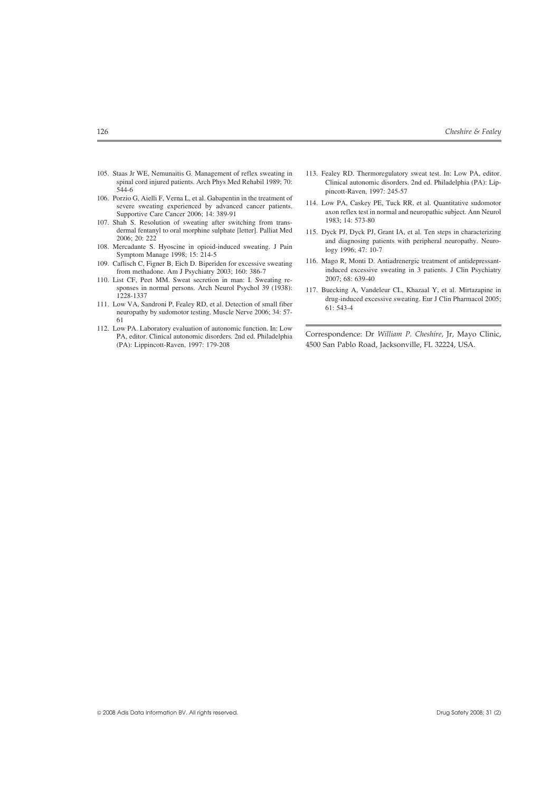- 
- 544-6 pincott-Raven, 1997: 245-57<br>106. Porzio G, Aielli F, Verna L, et al. Gabapentin in the treatment of pincott-Raven, 1997: 245-57
- 107. Shah S. Resolution of sweating after switching from trans-<br>dermal fentanyl to oral morphine sulphate [letter]. Palliat Med
- 
- from methadone. Am J Psychiatry 2003; 160: 386-7 induced excessive states contains the subset of the Sueating in 1. Sweating re-<br>Also CF. Peet MM. Sweat secretion in man: I. Sweating re- 2007; 68: 639-40
- 110. List CF, Peet MM. Sweat secretion in man: I. Sweating re-
- 61
- 112. Low PA. Laboratory evaluation of autonomic function. In: Low<br>
PA, editor. Clinical autonomic disorders. 2nd ed. Philadelphia<br>
(PA): Lippincott-Raven, 1997: 179-208 4500 San Pablo Road, Jacksonville, FL 32224, USA.
- 105. Staas Jr WE, Nemunaitis G. Management of reflex sweating in 113. Fealey RD. Thermoregulatory sweat test. In: Low PA, editor. spinal cord injured patients. Arch Phys Med Rehabil 1989; 70: Clinical autonomic disorders. 2nd ed. Philadelphia (PA): Lip-<br>544-6 pincett Payan 1007: 245.57
	- orzio G, Archi 1, veria E, et al. Gadapennin in the treatment of<br>severe sweating experienced by advanced cancer patients.<br>http://web.carchive.carchive.carchive.carchive.carchive.carchive.carchive.carchive.carchive.carchive
- dermal fentanyl to oral morphine sulphate [letter]. Palliat Med 115. Dyck PJ, Dyck PJ, Grant IA, et al. Ten steps in characterizing 2006; 20: 222 2006; 20: 222<br>
108. Mercadante S. Hyoscine in opioid-induced sweating. J Pain<br>
109. Calisch C. Figner B, Eich D. Biperiden for excessive sweating<br>
116. Mago R, Monti D. Antiadrenergic treatment of antidepressant-<br>
109. Cal
	-
- sponses in normal persons. Arch Neurol Psychol 39 (1938): 117. Buecking A, Vandeleur CL, Khazaal Y, et al. Mirtazapine in 1228-1337<br>111. Low VA, Sandroni P, Fealey RD, et al. Detection of small fiber neuropathy by sudomoto

4500 San Pablo Road, Jacksonville, FL 32224, USA.